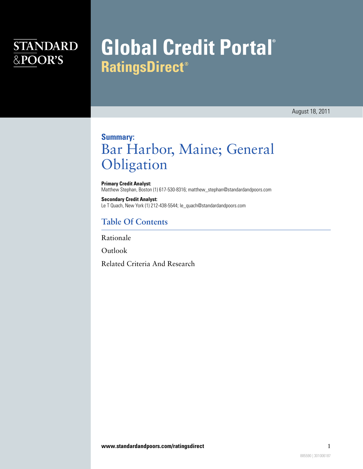## **STANDARD** &POOR'S

# **Global Credit Portal® RatingsDirect®**

August 18, 2011

### **Summary:** Bar Harbor, Maine; General Obligation

**Primary Credit Analyst:** Matthew Stephan, Boston (1) 617-530-8316; matthew\_stephan@standardandpoors.com

**Secondary Credit Analyst:** Le T Quach, New York (1) 212-438-5544; le\_quach@standardandpoors.com

#### **Table Of Contents**

[Rationale](#page-1-0)

[Outlook](#page-2-0)

[Related Criteria And Research](#page-2-1)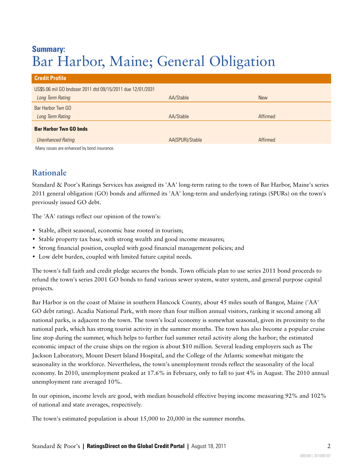### **Summary:** Bar Harbor, Maine; General Obligation

| <b>Credit Profile</b>                                      |                 |            |
|------------------------------------------------------------|-----------------|------------|
| US\$5.06 mil GO bndsser 2011 dtd 09/15/2011 due 12/01/2031 |                 |            |
| Long Term Rating                                           | AA/Stable       | <b>New</b> |
| Bar Harbor Twn GO                                          |                 |            |
| Long Term Rating                                           | AA/Stable       | Affirmed   |
| <b>Bar Harbor Twn GO bnds</b>                              |                 |            |
| <b>Unenhanced Rating</b>                                   | AA(SPUR)/Stable | Affirmed   |
| Many issues are enhanced by bond insurance.                |                 |            |

### <span id="page-1-0"></span>**Rationale**

Standard & Poor's Ratings Services has assigned its 'AA' long-term rating to the town of Bar Harbor, Maine's series 2011 general obligation (GO) bonds and affirmed its 'AA' long-term and underlying ratings (SPURs) on the town's previously issued GO debt.

The 'AA' ratings reflect our opinion of the town's:

- Stable, albeit seasonal, economic base rooted in tourism;
- Stable property tax base, with strong wealth and good income measures;
- Strong financial position, coupled with good financial management policies; and
- Low debt burden, coupled with limited future capital needs.

The town's full faith and credit pledge secures the bonds. Town officials plan to use series 2011 bond proceeds to refund the town's series 2001 GO bonds to fund various sewer system, water system, and general purpose capital projects.

Bar Harbor is on the coast of Maine in southern Hancock County, about 45 miles south of Bangor, Maine ('AA' GO debt rating). Acadia National Park, with more than four million annual visitors, ranking it second among all national parks, is adjacent to the town. The town's local economy is somewhat seasonal, given its proximity to the national park, which has strong tourist activity in the summer months. The town has also become a popular cruise line stop during the summer, which helps to further fuel summer retail activity along the harbor; the estimated economic impact of the cruise ships on the region is about \$10 million. Several leading employers such as The Jackson Laboratory, Mount Desert Island Hospital, and the College of the Atlantic somewhat mitigate the seasonality in the workforce. Nevertheless, the town's unemployment trends reflect the seasonality of the local economy. In 2010, unemployment peaked at 17.6% in February, only to fall to just 4% in August. The 2010 annual unemployment rate averaged 10%.

In our opinion, income levels are good, with median household effective buying income measuring 92% and 102% of national and state averages, respectively.

The town's estimated population is about 15,000 to 20,000 in the summer months.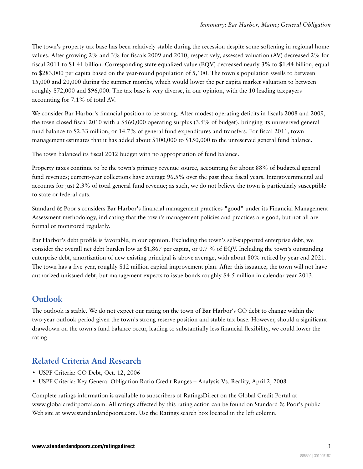The town's property tax base has been relatively stable during the recession despite some softening in regional home values. After growing 2% and 3% for fiscals 2009 and 2010, respectively, assessed valuation (AV) decreased 2% for fiscal 2011 to \$1.41 billion. Corresponding state equalized value (EQV) decreased nearly 3% to \$1.44 billion, equal to \$283,000 per capita based on the year-round population of 5,100. The town's population swells to between 15,000 and 20,000 during the summer months, which would lower the per capita market valuation to between roughly \$72,000 and \$96,000. The tax base is very diverse, in our opinion, with the 10 leading taxpayers accounting for 7.1% of total AV.

We consider Bar Harbor's financial position to be strong. After modest operating deficits in fiscals 2008 and 2009, the town closed fiscal 2010 with a \$560,000 operating surplus (3.5% of budget), bringing its unreserved general fund balance to \$2.33 million, or 14.7% of general fund expenditures and transfers. For fiscal 2011, town management estimates that it has added about \$100,000 to \$150,000 to the unreserved general fund balance.

The town balanced its fiscal 2012 budget with no appropriation of fund balance.

Property taxes continue to be the town's primary revenue source, accounting for about 88% of budgeted general fund revenues; current-year collections have average 96.5% over the past three fiscal years. Intergovernmental aid accounts for just 2.3% of total general fund revenue; as such, we do not believe the town is particularly susceptible to state or federal cuts.

Standard & Poor's considers Bar Harbor's financial management practices "good" under its Financial Management Assessment methodology, indicating that the town's management policies and practices are good, but not all are formal or monitored regularly.

Bar Harbor's debt profile is favorable, in our opinion. Excluding the town's self-supported enterprise debt, we consider the overall net debt burden low at \$1,867 per capita, or 0.7 % of EQV. Including the town's outstanding enterprise debt, amortization of new existing principal is above average, with about 80% retired by year-end 2021. The town has a five-year, roughly \$12 million capital improvement plan. After this issuance, the town will not have authorized unissued debt, but management expects to issue bonds roughly \$4.5 million in calendar year 2013.

#### <span id="page-2-0"></span>**Outlook**

The outlook is stable. We do not expect our rating on the town of Bar Harbor's GO debt to change within the two-year outlook period given the town's strong reserve position and stable tax base. However, should a significant drawdown on the town's fund balance occur, leading to substantially less financial flexibility, we could lower the rating.

### <span id="page-2-1"></span>**Related Criteria And Research**

- USPF Criteria: GO Debt, Oct. 12, 2006
- USPF Criteria: Key General Obligation Ratio Credit Ranges Analysis Vs. Reality, April 2, 2008

Complete ratings information is available to subscribers of RatingsDirect on the Global Credit Portal at www.globalcreditportal.com. All ratings affected by this rating action can be found on Standard & Poor's public Web site at www.standardandpoors.com. Use the Ratings search box located in the left column.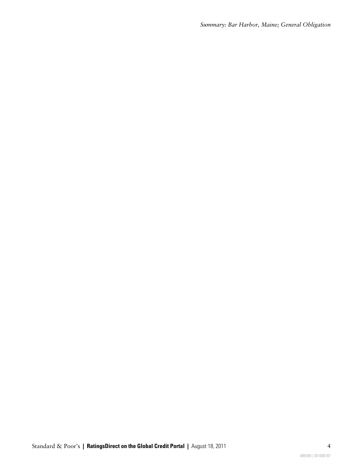*Summary: Bar Harbor, Maine; General Obligation*